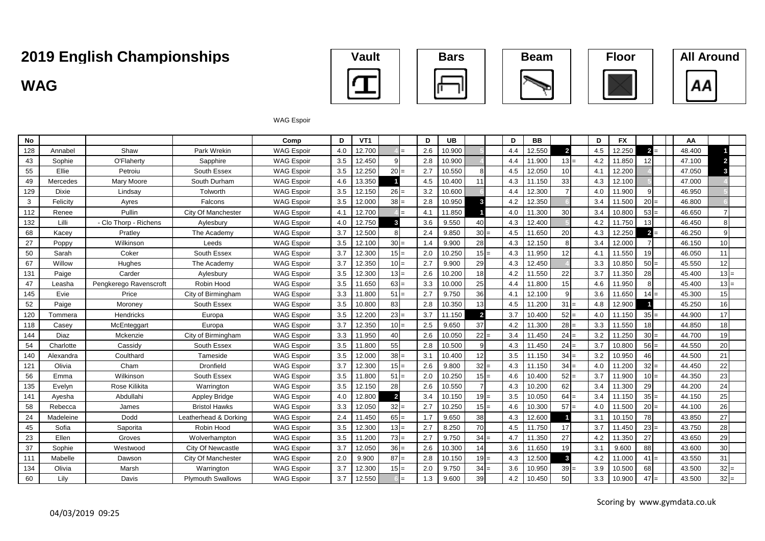### **WAG**











#### WAG Espoir

| No  |              |                        |                          | Comp              | D   | VT <sub>1</sub> |                | D   | <b>UB</b> |                         | D   | <b>BB</b> |                | D   | <b>FX</b> |                 | AA     |        |
|-----|--------------|------------------------|--------------------------|-------------------|-----|-----------------|----------------|-----|-----------|-------------------------|-----|-----------|----------------|-----|-----------|-----------------|--------|--------|
| 128 | Annabel      | Shaw                   | Park Wrekin              | <b>WAG Espoir</b> | 4.0 | 12.700          |                | 2.6 | 10.900    |                         | 4.4 | 12.550    | $\overline{2}$ | 4.5 | 12.250    | $2 =$           | 48.400 |        |
| 43  | Sophie       | O'Flaherty             | Sapphire                 | <b>WAG Espoir</b> | 3.5 | 12.450          |                | 2.8 | 10.900    |                         | 4.4 | 11.900    | $13 =$         | 4.2 | 11.850    | 12              | 47.100 |        |
| 55  | Ellie        | Petroiu                | South Essex              | <b>WAG Espoir</b> | 3.5 | 12.250          | $20 =$         | 2.7 | 10.550    |                         | 4.5 | 12.050    | 10             | 4.1 | 12.200    |                 | 47.050 |        |
| 49  | Mercedes     | Mary Moore             | South Durham             | <b>WAG Espoir</b> | 4.6 | 13.350          |                | 4.5 | 10.400    | 11                      | 4.3 | 11.150    | 33             | 4.3 | 12.100    |                 | 47.000 |        |
| 129 | <b>Dixie</b> | Lindsay                | Tolworth                 | <b>WAG Espoir</b> | 3.5 | 12.150          | $26 =$         | 3.2 | 10.600    |                         | 4.4 | 12.300    |                | 4.0 | 11.900    | $\mathbf{Q}$    | 46.950 |        |
| 3   | Felicity     | Ayres                  | Falcons                  | <b>WAG Espoir</b> | 3.5 | 12.000          | $38 =$         | 2.8 | 10.950    | 3                       | 4.2 | 12.350    |                | 3.4 | 11.500    | $20 =$          | 46.800 |        |
| 112 | Renee        | Pullin                 | City Of Manchester       | <b>WAG Espoir</b> | 4.1 | 12.700          |                | 4.1 | 11.850    |                         | 4.0 | 11.300    | 30             | 3.4 | 10.800    | $53 =$          | 46.650 |        |
| 132 | Lilli        | - Clo Thorp - Richens  | Aylesbury                | <b>WAG Espoir</b> | 4.0 | 12.750          |                | 3.6 | 9.550     | 40                      | 4.3 | 12.400    |                | 4.2 | 11.750    | 13              | 46.450 |        |
| 68  | Kacev        | Pratley                | The Academy              | <b>WAG Espoir</b> | 3.7 | 12.500          |                | 2.4 | 9.850     | $30 =$                  | 4.5 | 11.650    | 20             | 4.3 | 12.250    | $2 =$           | 46.250 |        |
| 27  | Poppy        | Wilkinson              | Leeds                    | <b>WAG Espoir</b> | 3.5 | 12.100          | $30 =$         | 1.4 | 9.900     | 28                      | 4.3 | 12.150    | 8              | 3.4 | 12.000    | $\overline{7}$  | 46.150 | 10     |
| 50  | Sarah        | Coker                  | South Essex              | <b>WAG Espoir</b> | 3.7 | 12.300          | $15 =$         | 2.0 | 10.250    | $15 =$                  | 4.3 | 11.950    | 12             | 4.1 | 11.550    | 19              | 46.050 | 11     |
| 67  | Willow       | Hughes                 | The Academy              | <b>WAG Espoir</b> | 3.7 | 12.350          | $10 =$         | 2.7 | 9.900     | 29                      | 4.3 | 12.450    |                | 3.3 | 10.850    | $50 =$          | 45.550 | 12     |
| 131 | Paige        | Carder                 | Aylesbury                | <b>WAG Espoir</b> | 3.5 | 12.300          | $13 =$         | 2.6 | 10.200    | 18                      | 4.2 | 11.550    | 22             | 3.7 | 11.350    | 28              | 45.400 | $13 =$ |
| 47  | Leasha       | Pengkerego Ravenscroft | Robin Hood               | <b>WAG Espoir</b> | 3.5 | 11.650          | $63 =$         | 3.3 | 10.000    | 25                      | 4.4 | 11.800    | 15             | 4.6 | 11.950    | 8               | 45.400 | $13 =$ |
| 145 | Evie         | Price                  | City of Birmingham       | <b>WAG Espoir</b> | 3.3 | 11.800          | $51 =$         | 2.7 | 9.750     | 36                      | 4.1 | 12.100    | $\mathsf{Q}$   | 3.6 | 11.650    | $14 =$          | 45.300 | 15     |
| 52  | Paige        | Moroney                | South Essex              | <b>WAG Espoir</b> | 3.5 | 10.800          | 83             | 2.8 | 10.350    | 13                      | 4.5 | 11.200    | $31 =$         | 4.8 | 12.900    |                 | 45.250 | 16     |
| 120 | Tommera      | Hendricks              | Europa                   | <b>WAG Espoir</b> | 3.5 | 12.200          | $23 =$         | 3.7 | 11.150    | $\overline{\mathbf{2}}$ | 3.7 | 10.400    | $52 =$         | 4.0 | 11.150    | $35 =$          | 44.900 | 17     |
| 118 | Casey        | McEnteggart            | Europa                   | <b>WAG Espoir</b> | 3.7 | 12.350          | $10 =$         | 2.5 | 9.650     | 37                      | 4.2 | 11.300    | $28 =$         | 3.3 | 11.550    | 18 <sup>l</sup> | 44.850 | 18     |
| 144 | Diaz         | Mckenzie               | City of Birmingham       | <b>WAG Espoir</b> | 3.3 | 11.950          | 40             | 2.6 | 10.050    | $22 =$                  | 3.4 | 11.450    | $24 =$         | 3.2 | 11.250    | $30 =$          | 44.700 | 19     |
| 54  | Charlotte    | Cassidy                | South Essex              | <b>WAG Espoir</b> | 3.5 | 11.800          | 55             | 2.8 | 10.500    | q                       | 4.3 | 11.450    | $24 =$         | 3.7 | 10.800    | $56 =$          | 44.550 | 20     |
| 140 | Alexandra    | Coulthard              | Tameside                 | <b>WAG Espoir</b> | 3.5 | 12.000          | $38 =$         | 3.1 | 10.400    | 12                      | 3.5 | 11.150    | $34 =$         | 3.2 | 10.950    | 46              | 44.500 | 21     |
| 121 | Olivia       | Cham                   | Dronfield                | <b>WAG Espoir</b> | 3.7 | 12.300          | $15 =$         | 2.6 | 9.800     | $32 =$                  | 4.3 | 11.150    | $34 =$         | 4.0 | 11.200    | $32 =$          | 44.450 | 22     |
| 56  | Emma         | Wilkinson              | South Essex              | <b>WAG Espoir</b> | 3.5 | 11.800          | $51 =$         | 2.0 | 10.250    | $15 =$                  | 4.6 | 10.400    | $52 =$         | 3.7 | 11.900    | $10 =$          | 44.350 | 23     |
| 135 | Evelyn       | Rose Kilikita          | Warrington               | <b>WAG Espoir</b> | 3.5 | 12.150          | 28             | 2.6 | 10.550    |                         | 4.3 | 10.200    | 62             | 3.4 | 11.300    | 29              | 44.200 | 24     |
| 141 | Ayesha       | Abdullahi              | <b>Appley Bridge</b>     | <b>WAG Espoir</b> | 4.0 | 12.800          | $\overline{2}$ | 3.4 | 10.150    | $19 =$                  | 3.5 | 10.050    | $64 =$         | 3.4 | 11.150    | $35 =$          | 44.150 | 25     |
| 58  | Rebecca      | James                  | <b>Bristol Hawks</b>     | <b>WAG Espoir</b> | 3.3 | 12.050          | $32 =$         | 2.7 | 10.250    | $15 =$                  | 4.6 | 10.300    | $57 =$         | 4.0 | 11.500    | $20 =$          | 44.100 | 26     |
| 24  | Madeleine    | Dodd                   | Leatherhead & Dorking    | <b>WAG Espoir</b> | 2.4 | 11.450          | $65 =$         | 1.7 | 9.650     | 38                      | 4.3 | 12.600    |                | 3.1 | 10.150    | 78              | 43.850 | 27     |
| 45  | Sofia        | Saporita               | Robin Hood               | <b>WAG Espoir</b> | 3.5 | 12.300          | $13 =$         | 2.7 | 8.250     | 70                      | 4.5 | 11.750    | 17             | 3.7 | 11.450    | $23 =$          | 43.750 | 28     |
| 23  | Ellen        | Groves                 | Wolverhampton            | <b>WAG Espoir</b> | 3.5 | 11.200          | $73 =$         | 2.7 | 9.750     | $34 =$                  | 4.7 | 11.350    | 27             | 4.2 | 11.350    | 27              | 43.650 | 29     |
| 37  | Sophie       | Westwood               | City Of Newcastle        | <b>WAG Espoir</b> | 3.7 | 12.050          | $36 =$         | 2.6 | 10.300    | 14                      | 3.6 | 11.650    | 19             | 3.1 | 9.600     | 88              | 43.600 | 30     |
| 111 | Mabelle      | Dawson                 | City Of Manchester       | <b>WAG Espoir</b> | 2.0 | 9.900           | $87 =$         | 2.8 | 10.150    | $19 =$                  | 4.3 | 12.500    | 3              | 4.2 | 11.000    | $41 =$          | 43.550 | 31     |
| 134 | Olivia       | Marsh                  | Warrington               | <b>WAG Espoir</b> | 3.7 | 12.300          | $15 =$         | 2.0 | 9.750     | $34 =$                  | 3.6 | 10.950    | $39 =$         | 3.9 | 10.500    | 68              | 43.500 | $32 =$ |
| 60  | Lily         | Davis                  | <b>Plymouth Swallows</b> | <b>WAG Espoir</b> | 3.7 | 12.550          |                | 1.3 | 9.600     | 39                      | 4.2 | 10.450    | 50             | 3.3 | 10.900    | $47 =$          | 43.500 | $32 =$ |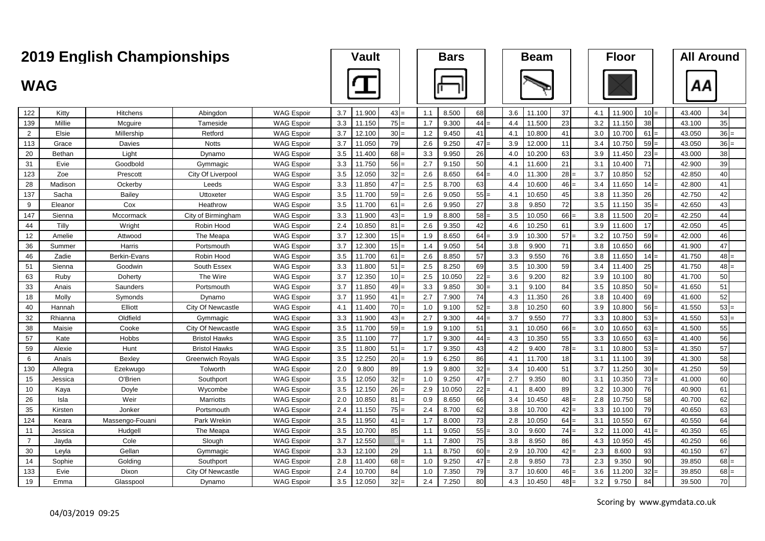|                |               | 2019 English Championships |                         |                   | <b>Vault</b> |        |        | <b>Bars</b> |        |        | <b>Beam</b> |        |        | <b>Floor</b> |        |                 | <b>All Around</b> |        |
|----------------|---------------|----------------------------|-------------------------|-------------------|--------------|--------|--------|-------------|--------|--------|-------------|--------|--------|--------------|--------|-----------------|-------------------|--------|
| <b>WAG</b>     |               |                            |                         |                   |              |        |        |             |        |        |             |        |        |              |        |                 | ΑА                |        |
| 122            | Kitty         | Hitchens                   | Abingdon                | <b>WAG Espoir</b> | 3.7          | 11.900 | $43 =$ | 1.1         | 8.500  | 68     | 3.6         | 11.100 | 37     | 4.1          | 11.900 | 10 <sup>1</sup> | 43.400            | 34     |
| 139            | Millie        | Mcquire                    | Tameside                | <b>WAG Espoir</b> | 3.3          | 11.150 | 75     | 1.7         | 9.300  | $44 =$ | 4.4         | 11.500 | 23     | 3.2          | 11.150 | 38              | 43.100            | 35     |
| 2              | Elsie         | Millership                 | Retford                 | <b>WAG Espoir</b> | 3.7          | 12.100 | $30 =$ | 1.2         | 9.450  | 41     | 4.1         | 10.800 | 41     | 3.0          | 10.700 | 61              | 43.050            | $36 =$ |
| 113            | Grace         | Davies                     | <b>Notts</b>            | <b>WAG Espoir</b> | 3.7          | 11.050 | 79     | 2.6         | 9.250  | $47 =$ | 3.9         | 12.000 | 11     | 3.4          | 10.750 | 59              | 43.050            | $36 =$ |
| 20             | <b>Bethan</b> | Light                      | Dynamo                  | <b>WAG Espoir</b> | 3.5          | 11.400 | 68     | 3.3         | 9.950  | 26     | 4.0         | 10.200 | 63     | 3.9          | 11.450 | 23              | 43.000            | 38     |
| 31             | Evie          | Goodbold                   | Gymmagic                | <b>WAG Espoir</b> | 3.3          | 11.750 | 56     | 2.7         | 9.150  | 50     | 4.1         | 11.600 | 21     | 3.1          | 10.400 | 71              | 42.900            | 39     |
| 123            | Zoe           | Prescott                   | City Of Liverpool       | <b>WAG Espoir</b> | 3.5          | 12.050 | $32 =$ | 2.6         | 8.650  | $64 =$ | 4.0         | 11.300 | $28 =$ | 3.7          | 10.850 | 52              | 42.850            | 40     |
| 28             | Madison       | Ockerby                    | Leeds                   | <b>WAG Espoir</b> | 3.3          | 11.850 | $47 =$ | 2.5         | 8.700  | 63     | 4.4         | 10.600 | $46 =$ | 3.4          | 11.650 | 14              | 42.800            | 41     |
| 137            | Sacha         | Bailey                     | Uttoxeter               | <b>WAG Espoir</b> | 3.5          | 11.700 | $59 =$ | 2.6         | 9.050  | $55 =$ | 4.1         | 10.650 | 45     | 3.8          | 11.350 | 26              | 42.750            | 42     |
| 9              | Eleanor       | Cox                        | Heathrow                | <b>WAG Espoir</b> | 3.5          | 11.700 | 61     | 2.6         | 9.950  | 27     | 3.8         | 9.850  | 72     | 3.5          | 11.150 | 35              | 42.650            | 43     |
| 147            | Sienna        | Mccormack                  | City of Birmingham      | <b>WAG Espoir</b> | 3.3          | 11.900 | 43     | 1.9         | 8.800  | $58 =$ | 3.5         | 10.050 | $66 =$ | 3.8          | 11.500 | 20              | 42.250            | 44     |
| 44             | Tilly         | Wright                     | Robin Hood              | <b>WAG Espoir</b> | 2.4          | 10.850 | 81     | 2.6         | 9.350  | 42     | 4.6         | 10.250 | 61     | 3.9          | 11.600 | 17              | 42.050            | 45     |
| 12             | Amelie        | Attwood                    | The Meapa               | <b>WAG Espoir</b> | 3.7          | 12.300 | $15 =$ | 1.9         | 8.650  | $64 =$ | 3.9         | 10.300 | $57 =$ | 3.2          | 10.750 | 59              | 42.000            | 46     |
| 36             | Summer        | Harris                     | Portsmouth              | <b>WAG Espoir</b> | 3.7          | 12.300 | 15     | 1.4         | 9.050  | 54     | 3.8         | 9.900  | 71     | 3.8          | 10.650 | 66              | 41.900            | 47     |
| 46             | Zadie         | Berkin-Evans               | Robin Hood              | <b>WAG Espoir</b> | 3.5          | 11.700 | $61 =$ | 2.6         | 8.850  | 57     | 3.3         | 9.550  | 76     | 3.8          | 11.650 | 14              | 41.750            | $48 =$ |
| 51             | Sienna        | Goodwin                    | South Essex             | <b>WAG Espoir</b> | 3.3          | 11.800 | 51     | 2.5         | 8.250  | 69     | 3.5         | 10.300 | 59     | 3.4          | 11.400 | 25              | 41.750            | 48     |
| 63             | Ruby          | Doherty                    | The Wire                | <b>WAG Espoir</b> | 3.7          | 12.350 | $10 =$ | 2.5         | 10.050 | $22 =$ | 3.6         | 9.200  | 82     | 3.9          | 10.100 | 80              | 41.700            | 50     |
| 33             | Anais         | Saunders                   | Portsmouth              | <b>WAG Espoir</b> | 3.7          | 11.850 | 49     | 3.3         | 9.850  | $30 -$ | 3.1         | 9.100  | 84     | 3.5          | 10.850 | 50              | 41.650            | 51     |
| 18             | Molly         | Symonds                    | Dynamo                  | <b>WAG Espoir</b> | 3.7          | 11.950 | $41 =$ | 2.7         | 7.900  | 74     | 4.3         | 11.350 | 26     | 3.8          | 10.400 | 69              | 41.600            | 52     |
| 40             | Hannah        | Elliott                    | City Of Newcastle       | <b>WAG Espoir</b> | 4.1          | 11.400 | $70 =$ | 1.0         | 9.100  | $52 =$ | 3.8         | 10.250 | 60     | 3.9          | 10.800 | 56              | 41.550            | $53 =$ |
| 32             | Rhianna       | Oldfield                   | Gymmagic                | <b>WAG Espoir</b> | 3.3          | 11.900 | $43 =$ | 2.7         | 9.300  | $44 =$ | 3.7         | 9.550  | 77     | 3.3          | 10.800 | 53              | 41.550            | $53 =$ |
| 38             | Maisie        | Cooke                      | City Of Newcastle       | <b>WAG Espoir</b> | 3.5          | 11.700 | 59     | 1.9         | 9.100  | 51     | 3.1         | 10.050 | 66     | 3.0          | 10.650 | 63              | 41.500            | 55     |
| 57             | Kate          | Hobbs                      | <b>Bristol Hawks</b>    | <b>WAG Espoir</b> | 3.5          | 11.100 | 77     | 1.7         | 9.300  | $44 =$ | 4.3         | 10.350 | 55     | 3.3          | 10.650 | 63              | 41.400            | 56     |
| 59             | Alexie        | Hunt                       | <b>Bristol Hawks</b>    | <b>WAG Espoir</b> | 3.5          | 11.800 | 51     | 1.7         | 9.350  | 43     | 4.2         | 9.400  | $78 =$ | 3.1          | 10.800 | 53              | 41.350            | 57     |
| 6              | Anaïs         | Bexley                     | <b>Greenwich Royals</b> | <b>WAG Espoir</b> | 3.5          | 12.250 | 20     | 1.9         | 6.250  | 86     | 4.1         | 11.700 | 18     | 3.1          | 11.100 | 39              | 41.300            | 58     |
| 130            | Allegra       | Ezekwugo                   | Tolworth                | <b>WAG Espoir</b> | 2.0          | 9.800  | 89     | 1.9         | 9.800  | $32 =$ | 3.4         | 10.400 | 51     | 3.7          | 11.250 | 30              | 41.250            | 59     |
| 15             | Jessica       | O'Brien                    | Southport               | <b>WAG Espoir</b> | 3.5          | 12.050 | 32     | 1.0         | 9.250  | $47 =$ | 2.7         | 9.350  | 80     | 3.1          | 10.350 | 73              | 41.000            | 60     |
| 10             | Kaya          | Doyle                      | Wycombe                 | <b>WAG Espoir</b> | 3.5          | 12.150 | 26     | 2.9         | 10.050 | $22 =$ | 4.1         | 8.400  | 89     | 3.2          | 10.300 | 76              | 40.900            | 61     |
| 26             | Isla          | Weir                       | Marriotts               | <b>WAG Espoir</b> | 2.0          | 10.850 | 81     | 0.9         | 8.650  | 66     | 3.4         | 10.450 | $48 =$ | 2.8          | 10.750 | 58              | 40.700            | 62     |
| 35             | Kirsten       | Jonker                     | Portsmouth              | <b>WAG Espoir</b> | 2.4          | 11.150 | $75 =$ | 2.4         | 8.700  | 62     | 3.8         | 10.700 | $42 =$ | 3.3          | 10.100 | 79              | 40.650            | 63     |
| 124            | Keara         | Massengo-Fouani            | Park Wrekin             | <b>WAG Espoir</b> | 3.5          | 11.950 | 41     | 1.7         | 8.000  | 73     | 2.8         | 10.050 | $64 =$ | 3.1          | 10.550 | 67              | 40.550            | 64     |
| 11             | Jessica       | Hudgell                    | The Meapa               | <b>WAG Espoir</b> | 3.5          | 10.700 | 85     | 1.1         | 9.050  | $55 =$ | 3.0         | 9.600  | $74 =$ | 3.2          | 11.000 | 41              | 40.350            | 65     |
| $\overline{7}$ | Jayda         | Cole                       | Slough                  | <b>WAG Espoir</b> | 3.7          | 12.550 |        | 1.1         | 7.800  | 75     | 3.8         | 8.950  | 86     | 4.3          | 10.950 | 45              | 40.250            | 66     |
| 30             | Leyla         | Gellan                     | Gymmagic                | <b>WAG Espoir</b> | 3.3          | 12.100 | 29     | 1.1         | 8.750  | $60 =$ | 2.9         | 10.700 | $42 =$ | 2.3          | 8.600  | 93              | 40.150            | 67     |
| 14             | Sophie        | Golding                    | Southport               | <b>WAG Espoir</b> | 2.8          | 11.400 | 68     | 1.0         | 9.250  | $47 =$ | 2.8         | 9.850  | 73     | 2.3          | 9.350  | 90              | 39.850            | 68     |
| 133            | Evie          | Dixon                      | City Of Newcastle       | <b>WAG Espoir</b> | 2.4          | 10.700 | 84     | 1.0         | 7.350  | 79     | 3.7         | 10.600 | $46 =$ | 3.6          | 11.200 | 32              | 39.850            | $68 =$ |
| 19             | Emma          | Glasspool                  | Dynamo                  | <b>WAG Espoir</b> | 3.5          | 12.050 | 32     | 2.4         | 7.250  | 80     | 4.3         | 10.450 | $48 =$ | 3.2          | 9.750  | 84              | 39.500            | 70     |

Scoring by www.gymdata.co.uk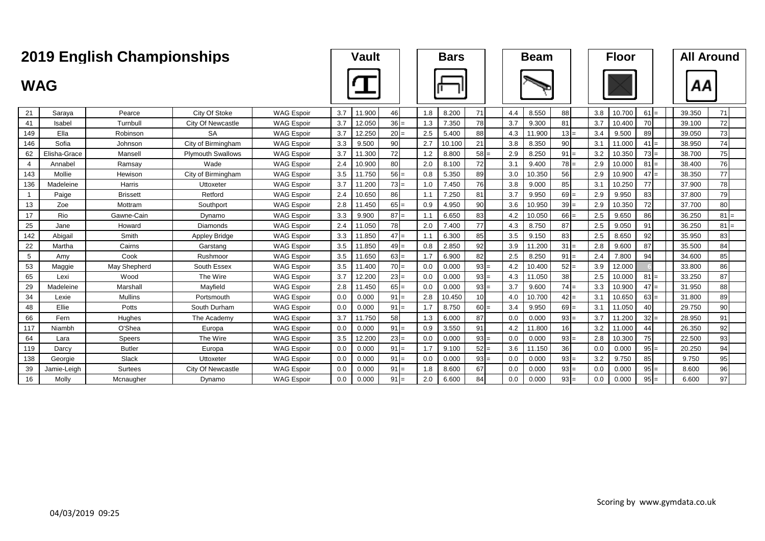|                |              | <b>2019 English Championships</b> |                          |                   |     | <b>Vault</b> |        |     | <b>Bars</b> |                 |     | <b>Beam</b> |        |     | <b>Floor</b> |        |        | <b>All Around</b> |
|----------------|--------------|-----------------------------------|--------------------------|-------------------|-----|--------------|--------|-----|-------------|-----------------|-----|-------------|--------|-----|--------------|--------|--------|-------------------|
| <b>WAG</b>     |              |                                   |                          |                   |     |              |        |     |             |                 |     |             |        |     |              |        | ΑА     |                   |
| 21             | Saraya       | Pearce                            | City Of Stoke            | <b>WAG Espoir</b> | 3.7 | 11.900       | 46     | 1.8 | 8.200       | 71              | 4.4 | 8.550       | 88     | 3.8 | 10.700       | $61 =$ | 39.350 | 71                |
| 41             | Isabel       | Turnbull                          | City Of Newcastle        | <b>WAG Espoir</b> | 3.7 | 12.050       | $36 =$ | 1.3 | 7.350       | 78              | 3.7 | 9.300       | 81     | 3.7 | 10.400       | 70     | 39.100 | 72                |
| 149            | Ella         | Robinson                          | <b>SA</b>                | <b>WAG Espoir</b> | 3.7 | 12.250       | $20 =$ | 2.5 | 5.400       | 88              | 4.3 | 11.900      | $13 =$ | 3.4 | 9.500        | 89     | 39.050 | 73                |
| 146            | Sofia        | Johnson                           | City of Birmingham       | <b>WAG Espoir</b> | 3.3 | 9.500        | 90     | 2.7 | 10.100      | 21              | 3.8 | 8.350       | 90     | 3.1 | 11.000       | 41     | 38.950 | 74                |
| 62             | Elisha-Grace | Mansell                           | <b>Plymouth Swallows</b> | <b>WAG Espoir</b> | 3.7 | 11.300       | 72     | 1.2 | 8.800       | $58 =$          | 2.9 | 8.250       | $91 =$ | 3.2 | 10.350       | $73 =$ | 38.700 | 75                |
| $\overline{4}$ | Annabel      | Ramsay                            | Wade                     | <b>WAG Espoir</b> | 2.4 | 10.900       | 80     | 2.0 | 8.100       | 72              | 3.1 | 9.400       | $78 =$ | 2.9 | 10.000       | $81$ : | 38.400 | 76                |
| 143            | Mollie       | Hewison                           | City of Birmingham       | <b>WAG Espoir</b> | 3.5 | 11.750       | $56 =$ | 0.8 | 5.350       | 89              | 3.0 | 10.350      | 56     | 2.9 | 10.900       | $47 =$ | 38.350 | 77                |
| 136            | Madeleine    | Harris                            | Uttoxeter                | <b>WAG Espoir</b> | 3.7 | 11.200       | $73 =$ | 1.0 | 7.450       | 76              | 3.8 | 9.000       | 85     | 3.1 | 10.250       | 77     | 37.900 | 78                |
| $\mathbf{1}$   | Paige        | <b>Brissett</b>                   | Retford                  | <b>WAG Espoir</b> | 2.4 | 10.650       | 86     | 1.1 | 7.250       | 81              | 3.7 | 9.950       | $69 =$ | 2.9 | 9.950        | 83     | 37.800 | 79                |
| 13             | Zoe          | Mottram                           | Southport                | <b>WAG Espoir</b> | 2.8 | 11.450       | $65 =$ | 0.9 | 4.950       | 90 <sup>1</sup> | 3.6 | 10.950      | $39 =$ | 2.9 | 10.350       | 72     | 37.700 | 80                |
| 17             | Rio          | Gawne-Cain                        | Dynamo                   | <b>WAG Espoir</b> | 3.3 | 9.900        | $87 =$ | 1.1 | 6.650       | 83              | 4.2 | 10.050      | $66 =$ | 2.5 | 9.650        | 86     | 36.250 | $81 =$            |
| 25             | Jane         | Howard                            | Diamonds                 | <b>WAG Espoir</b> | 2.4 | 11.050       | 78     | 2.0 | 7.400       | 77              | 4.3 | 8.750       | 87     | 2.5 | 9.050        | 91     | 36.250 | $81 =$            |
| 142            | Abigail      | Smith                             | <b>Appley Bridge</b>     | <b>WAG Espoir</b> | 3.3 | 11.850       | $47 =$ | 1.1 | 6.300       | 85              | 3.5 | 9.150       | 83     | 2.5 | 8.650        | 92     | 35.950 | 83                |
| 22             | Martha       | Cairns                            | Garstang                 | <b>WAG Espoir</b> | 3.5 | 11.850       | $49 =$ | 0.8 | 2.850       | 92              | 3.9 | 11.200      | $31 =$ | 2.8 | 9.600        | 87     | 35.500 | 84                |
| 5              | Amy          | Cook                              | Rushmoor                 | <b>WAG Espoir</b> | 3.5 | 11.650       | $63 =$ | 1.7 | 6.900       | 82              | 2.5 | 8.250       | $91 =$ | 2.4 | 7.800        | 94     | 34.600 | 85                |
| 53             | Maggie       | May Shepherd                      | South Essex              | <b>WAG Espoir</b> | 3.5 | 11.400       | $70 =$ | 0.0 | 0.000       | $93 =$          | 4.2 | 10.400      | $52 =$ | 3.9 | 12.000       |        | 33.800 | 86                |
| 65             | Lexi         | Wood                              | The Wire                 | <b>WAG Espoir</b> | 3.7 | 12.200       | $23 =$ | 0.0 | 0.000       | $93 =$          | 4.3 | 11.050      | 38     | 2.5 | 10.000       | $81 =$ | 33.250 | 87                |
| 29             | Madeleine    | Marshall                          | Mayfield                 | <b>WAG Espoir</b> | 2.8 | 11.450       | $65 =$ | 0.0 | 0.000       | $93 =$          | 3.7 | 9.600       | $74 =$ | 3.3 | 10.900       | $47 =$ | 31.950 | 88                |
| 34             | Lexie        | <b>Mullins</b>                    | Portsmouth               | <b>WAG Espoir</b> | 0.0 | 0.000        | $91 =$ | 2.8 | 10.450      | 10 <sup>1</sup> | 4.0 | 10.700      | $42 =$ | 3.1 | 10.650       | $63 =$ | 31.800 | 89                |
| 48             | Ellie        | Potts                             | South Durham             | <b>WAG Espoir</b> | 0.0 | 0.000        | $91 =$ | 1.7 | 8.750       | $60 =$          | 3.4 | 9.950       | $69 =$ | 3.1 | 11.050       | 40     | 29.750 | 90                |
| 66             | Fern         | Hughes                            | The Academy              | <b>WAG Espoir</b> | 3.7 | 11.750       | 58     | 1.3 | 6.000       | 87              | 0.0 | 0.000       | $93 =$ | 3.7 | 11.200       | 32:    | 28.950 | 91                |
| 117            | Niambh       | O'Shea                            | Europa                   | <b>WAG Espoir</b> | 0.0 | 0.000        | $91 =$ | 0.9 | 3.550       | 91              | 4.2 | 11.800      | 16     | 3.2 | 11.000       | 44     | 26.350 | 92                |
| 64             | Lara         | Speers                            | The Wire                 | <b>WAG Espoir</b> | 3.5 | 12.200       | $23 =$ | 0.0 | 0.000       | $93 =$          | 0.0 | 0.000       | $93 =$ | 2.8 | 10.300       | 75     | 22.500 | 93                |
| 119            | Darcy        | <b>Butler</b>                     | Europa                   | <b>WAG Espoir</b> | 0.0 | 0.000        | $91 =$ | 1.7 | 9.100       | $52 =$          | 3.6 | 11.150      | 36     | 0.0 | 0.000        | $95 =$ | 20.250 | 94                |
| 138            | Georgie      | Slack                             | Uttoxeter                | <b>WAG Espoir</b> | 0.0 | 0.000        | $91 =$ | 0.0 | 0.000       | $93 =$          | 0.0 | 0.000       | $93 =$ | 3.2 | 9.750        | 85     | 9.750  | 95                |
| 39             | Jamie-Leigh  | Surtees                           | City Of Newcastle        | <b>WAG Espoir</b> | 0.0 | 0.000        | $91 =$ | 1.8 | 8.600       | 67              | 0.0 | 0.000       | $93 =$ | 0.0 | 0.000        | 95     | 8.600  | 96                |
| 16             | Molly        | Mcnaugher                         | Dynamo                   | <b>WAG Espoir</b> | 0.0 | 0.000        | $91 =$ | 2.0 | 6.600       | 84              | 0.0 | 0.000       | $93 =$ | 0.0 | 0.000        | $95 =$ | 6.600  | 97                |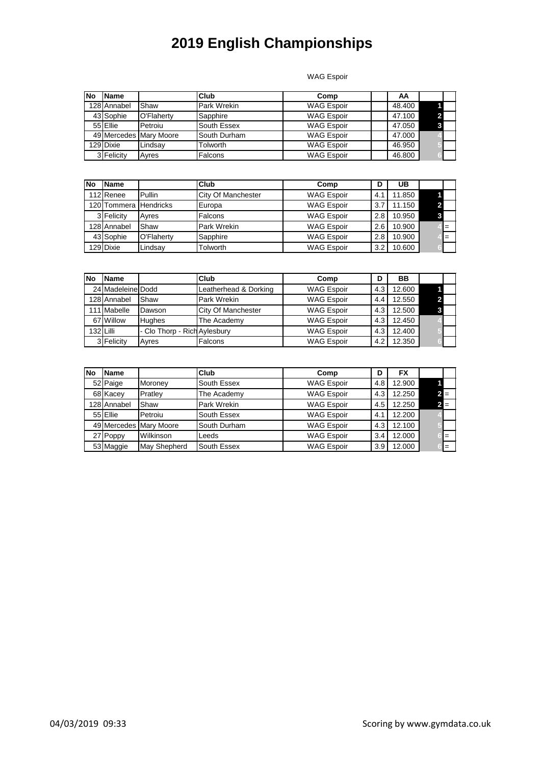WAG Espoir

| No | <b>Name</b> |                        | Club            | Comp              | AA     |  |
|----|-------------|------------------------|-----------------|-------------------|--------|--|
|    | 128 Annabel | Shaw                   | Park Wrekin     | <b>WAG Espoir</b> | 48.400 |  |
|    | 43 Sophie   | O'Flaherty             | Sapphire        | <b>WAG Espoir</b> | 47.100 |  |
|    | 55 Ellie    | Petroiu                | South Essex     | <b>WAG Espoir</b> | 47.050 |  |
|    |             | 49 Mercedes Mary Moore | South Durham    | <b>WAG Espoir</b> | 47.000 |  |
|    | 129 Dixie   | Lindsav                | <b>Tolworth</b> | <b>WAG Espoir</b> | 46.950 |  |
|    | 3 Felicity  | Avres                  | Falcons         | <b>WAG Espoir</b> | 46.800 |  |

| No | <b>Name</b>           |            | <b>Club</b>               | Comp              |     | UB     |     |
|----|-----------------------|------------|---------------------------|-------------------|-----|--------|-----|
|    | 112 Renee             | Pullin     | <b>City Of Manchester</b> | <b>WAG Espoir</b> | 4.  | 11.850 |     |
|    | 120 Tommera Hendricks |            | Europa                    | <b>WAG Espoir</b> |     | 11.150 |     |
|    | 3 Felicity            | Ayres      | Falcons                   | <b>WAG Espoir</b> | 2.8 | 10.950 |     |
|    | 128 Annabel           | Shaw       | <b>Park Wrekin</b>        | <b>WAG Espoir</b> | 2.6 | 10.900 | $=$ |
|    | 43 Sophie             | O'Flaherty | Sapphire                  | <b>WAG Espoir</b> | 2.8 | 10.900 | $=$ |
|    | 129 Dixie             | Lindsav    | Tolworth                  | <b>WAG Espoir</b> | 3.2 | 10.600 |     |

| No | <b>Name</b>       |                              | Club                  | Comp              | D   | BВ     |  |
|----|-------------------|------------------------------|-----------------------|-------------------|-----|--------|--|
|    | 24 Madeleine Dodd |                              | Leatherhead & Dorking | <b>WAG Espoir</b> | 4.3 | 12.600 |  |
|    | 128 Annabel       | Shaw                         | Park Wrekin           | <b>WAG Espoir</b> | 4.4 | 12.550 |  |
|    | 111 Mabelle       | Dawson                       | City Of Manchester    | <b>WAG Espoir</b> | 4.3 | 12.500 |  |
|    | 67 Willow         | <b>Hughes</b>                | The Academy           | <b>WAG Espoir</b> | 4.3 | 12.450 |  |
|    | 132 Lilli         | - Clo Thorp - Rich Aylesbury |                       | <b>WAG Espoir</b> | 4.3 | 12.400 |  |
|    | 3 Felicity        | Ayres                        | Falcons               | <b>WAG Espoir</b> | 4.2 | 12.350 |  |

| <b>No</b> | <b>Name</b> |                        | Club         | Comp              | D   | <b>FX</b> |       |
|-----------|-------------|------------------------|--------------|-------------------|-----|-----------|-------|
|           | 52 Paige    | <b>Moroney</b>         | South Essex  | <b>WAG Espoir</b> | 4.8 | 12.900    |       |
|           | 68 Kacey    | Pratley                | The Academy  | <b>WAG Espoir</b> | 4.3 | 12.250    | $2 =$ |
|           | 128 Annabel | Shaw                   | Park Wrekin  | <b>WAG Espoir</b> | 4.5 | 12.250    | $2 =$ |
|           | 55 Ellie    | Petroiu                | South Essex  | <b>WAG Espoir</b> | 4.  | 12.200    |       |
|           |             | 49 Mercedes Mary Moore | South Durham | <b>WAG Espoir</b> | 4.3 | 12.100    |       |
|           | 27 Poppy    | Wilkinson              | Leeds        | <b>WAG Espoir</b> | 3.4 | 12.000    | $=$   |
|           | 53 Maggie   | May Shepherd           | South Essex  | <b>WAG Espoir</b> | 3.9 | 12.000    | $=$   |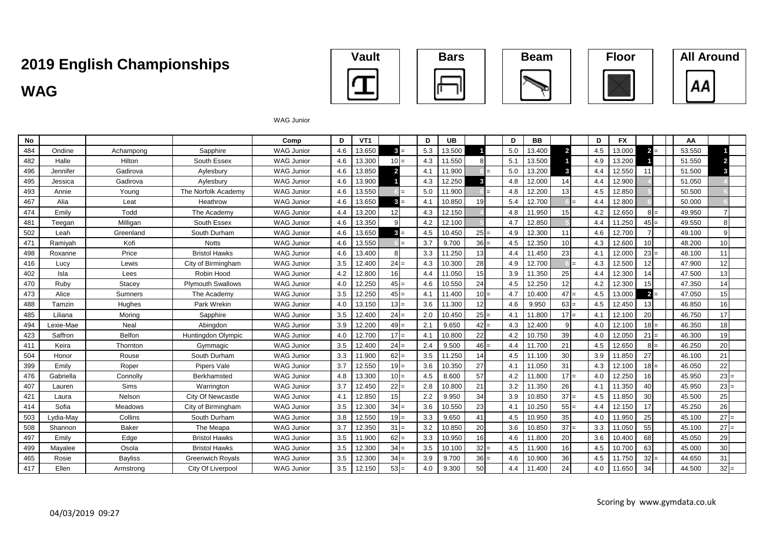# **WAG All Around Championships Vault Bars Beam Floor All Around**











WAG Junior

| No  |           |                |                          | Comp              | D   | VT <sub>1</sub> |                 | D   | <b>UB</b> |        | D   | <b>BB</b> |                         | D   | <b>FX</b> |                 | AA     |        |
|-----|-----------|----------------|--------------------------|-------------------|-----|-----------------|-----------------|-----|-----------|--------|-----|-----------|-------------------------|-----|-----------|-----------------|--------|--------|
| 484 | Ondine    | Achampong      | Sapphire                 | <b>WAG Junior</b> | 4.6 | 13.650          | $3 =$           | 5.3 | 13.500    |        | 5.0 | 13.400    | $\overline{\mathbf{2}}$ | 4.5 | 13.000    | $2 =$           | 53.550 |        |
| 482 | Halle     | Hilton         | South Essex              | <b>WAG Junior</b> | 4.6 | 13.300          | $10 =$          | 4.3 | 11.550    |        | 5.1 | 13.500    |                         | 4.9 | 13.200    |                 | 51.550 |        |
| 496 | Jennifer  | Gadirova       | Avlesburv                | <b>WAG Junior</b> | 4.6 | 13.850          | $\overline{2}$  | 4.1 | 11.900    |        | 5.0 | 13.200    | 3                       | 4.4 | 12.550    | 11              | 51.500 |        |
| 495 | Jessica   | Gadirova       | Aylesbury                | <b>WAG Junior</b> | 4.6 | 13.900          |                 | 4.3 | 12.250    |        | 4.8 | 12.000    | 14                      | 4.4 | 12.900    |                 | 51.050 |        |
| 493 | Annie     | Young          | The Norfolk Academy      | <b>WAG Junior</b> | 4.6 | 13.550          |                 | 5.0 | 11.900    |        | 4.8 | 12.200    | 13                      | 4.5 | 12.850    |                 | 50.500 |        |
| 467 | Alia      | Leat           | Heathrow                 | <b>WAG Junior</b> | 4.6 | 13.650          |                 | 4.1 | 10.850    | 19     | 5.4 | 12.700    |                         | 44  | 12.800    |                 | 50.000 |        |
| 474 | Emilv     | Todd           | The Academy              | <b>WAG Junior</b> | 4.4 | 13.200          | 12              | 4.3 | 12.150    |        | 4.8 | 11.950    | 15                      | 4.2 | 12.650    | $8I =$          | 49.950 |        |
| 481 | Teegan    | Milligan       | South Essex              | <b>WAG Junior</b> | 4.6 | 13.350          |                 | 4.2 | 12.100    |        | 4.7 | 12.850    |                         | 4.4 | 11.250    | $45 =$          | 49.550 |        |
| 502 | Leah      | Greenland      | South Durham             | <b>WAG Junior</b> | 4.6 | 13.650          | 3 =             | 4.5 | 10.450    | $25 =$ | 4.9 | 12.300    | 11                      | 4.6 | 12.700    | $\overline{ }$  | 49.100 |        |
| 471 | Ramivah   | Kofi           | <b>Notts</b>             | <b>WAG Junior</b> | 4.6 | 13.550          |                 | 3.7 | 9.700     | $36 =$ | 4.5 | 12.350    | 10                      | 4.3 | 12.600    | 10 <sup>1</sup> | 48.200 | 10     |
| 498 | Roxanne   | Price          | <b>Bristol Hawks</b>     | <b>WAG Junior</b> | 4.6 | 13.400          |                 | 3.3 | 11.250    | 13     | 4.4 | 11.450    | 23                      | 4.1 | 12.000    | $23 =$          | 48.100 | 11     |
| 416 | Lucy      | Lewis          | City of Birmingham       | <b>WAG Junior</b> | 3.5 | 12.400          | $24 =$          | 4.3 | 10.300    | 28     | 4.9 | 12.700    |                         | 4.3 | 12.500    | 12 <sup>1</sup> | 47.900 | 12     |
| 402 | Isla      | Lees           | Robin Hood               | <b>WAG Junior</b> | 4.2 | 12.800          | 16 <sup>1</sup> | 4.4 | 11.050    | 15     | 3.9 | 11.350    | 25                      | 4.4 | 12.300    | 14              | 47.500 | 13     |
| 470 | Ruby      | Stacey         | <b>Plymouth Swallows</b> | <b>WAG Junior</b> | 4.0 | 12.250          | $45 =$          | 4.6 | 10.550    | 24     | 4.5 | 12.250    | 12                      | 4.2 | 12.300    | 15 <sup>1</sup> | 47.350 | 14     |
| 473 | Alice     | Sumners        | The Academy              | <b>WAG Junior</b> | 3.5 | 12.250          | $45 =$          | 4.1 | 11.400    | $10 =$ | 4.7 | 10.400    | $47 =$                  | 4.5 | 13.000    | $2 =$           | 47.050 | 15     |
| 488 | Tamzin    | Hughes         | Park Wrekin              | <b>WAG Junior</b> | 4.0 | 13.150          | $13 =$          | 3.6 | 11.300    | 12     | 4.6 | 9.950     | $63 =$                  | 4.5 | 12.450    | 13 <sup>l</sup> | 46.850 | 16     |
| 485 | Liliana   | Moring         | Sapphire                 | <b>WAG Junior</b> | 3.5 | 12.400          | $24 =$          | 2.0 | 10.450    | $25 =$ | 4.1 | 11.800    | $17 =$                  | 4.1 | 12.100    | 20              | 46.750 | 17     |
| 494 | Lexie-Mae | Neal           | Abingdon                 | <b>WAG Junior</b> | 3.9 | 12.200          | $49 =$          | 2.1 | 9.650     | $42 =$ | 4.3 | 12.400    | q                       | 4.0 | 12.100    | $18 =$          | 46.350 | 18     |
| 423 | Saffron   | <b>Belfon</b>  | Huntingdon Olympic       | <b>WAG Junior</b> | 4.0 | 12.700          | 17<br>$l =$     | 4.1 | 10.800    | 22     | 4.2 | 10.750    | 39                      | 4.0 | 12.050    | $21 =$          | 46.300 | 19     |
| 411 | Keira     | Thornton       | Gymmagic                 | <b>WAG Junior</b> | 3.5 | 12.400          | $24 =$          | 2.4 | 9.500     | 46     | 4.4 | 11.700    | 21                      | 4.5 | 12.650    | $8I =$          | 46.250 | 20     |
| 504 | Honor     | Rouse          | South Durham             | <b>WAG Junior</b> | 3.3 | 11.900          | $62 =$          | 3.5 | 11.250    | 14     | 4.5 | 11.100    | 30                      | 3.9 | 11.850    | 27              | 46.100 | 21     |
| 399 | Emily     | Roper          | Pipers Vale              | <b>WAG Junior</b> | 3.7 | 12.550          | $19 =$          | 3.6 | 10.350    | 27     | 4.1 | 11.050    | 31                      | 4.3 | 12.100    | $18 =$          | 46.050 | 22     |
| 476 | Gabriella | Connolly       | Berkhamsted              | <b>WAG Junior</b> | 4.8 | 13.300          | $10 =$          | 4.5 | 8.600     | 57     | 4.2 | 11.800    | $17 =$                  | 4.0 | 12.250    | <b>16</b>       | 45.950 | $23 =$ |
| 407 | Lauren    | <b>Sims</b>    | Warrington               | <b>WAG Junior</b> | 3.7 | 12.450          | $22 =$          | 2.8 | 10.800    | 21     | 3.2 | 11.350    | 26                      | 4.1 | 11.350    | 40              | 45.950 | $23 =$ |
| 421 | Laura     | Nelson         | City Of Newcastle        | <b>WAG Junior</b> | 4.1 | 12.850          | 15              | 2.2 | 9.950     | 34     | 3.9 | 10.850    | $37 =$                  | 4.5 | 11.850    | 30 <sup>1</sup> | 45.500 | 25     |
| 414 | Sofia     | Meadows        | City of Birmingham       | <b>WAG Junior</b> | 3.5 | 12.300          | $34 =$          | 3.6 | 10.550    | 23     | 4.1 | 10.250    | $55 =$                  | 4.4 | 12.150    | 17              | 45.250 | 26     |
| 503 | Lvdia-Mav | Collins        | South Durham             | <b>WAG Junior</b> | 3.8 | 12.550          | $19 =$          | 3.3 | 9.650     | 41     | 4.5 | 10.950    | 35                      | 4.0 | 11.950    | 25              | 45.100 | 27     |
| 508 | Shannon   | <b>Baker</b>   | The Meapa                | <b>WAG Junior</b> | 3.7 | 12.350          | 31<br>I=        | 3.2 | 10.850    | 20     | 3.6 | 10.850    | $37 =$                  | 3.3 | 11.050    | 55              | 45.100 | 27     |
| 497 | Emily     | Edge           | <b>Bristol Hawks</b>     | <b>WAG Junior</b> | 3.5 | 11.900          | $62 =$          | 3.3 | 10.950    | 16     | 4.6 | 11.800    | 20                      | 3.6 | 10.400    | 68              | 45.050 | 29     |
| 499 | Mavalee   | Osola          | <b>Bristol Hawks</b>     | <b>WAG Junior</b> | 3.5 | 12.300          | $34 =$          | 3.5 | 10.100    | $32 =$ | 4.5 | 11.900    | 16 <sup>1</sup>         | 4.5 | 10.700    | 63              | 45.000 | 30     |
| 465 | Rosie     | <b>Bayliss</b> | <b>Greenwich Royals</b>  | <b>WAG Junior</b> | 3.5 | 12.300          | 34              | 3.9 | 9.700     | 36     | 4.6 | 10.900    | 36                      | 4.5 | 11.750    | 32              | 44.650 | 31     |
| 417 | Ellen     | Armstrong      | City Of Liverpool        | <b>WAG Junior</b> | 3.5 | 12.150          | $53 =$          | 4.0 | 9.300     | 50     | 4.4 | 11.400    | 24                      | 4.0 | 11.650    | 34              | 44.500 | $32 =$ |
|     |           |                |                          |                   |     |                 |                 |     |           |        |     |           |                         |     |           |                 |        |        |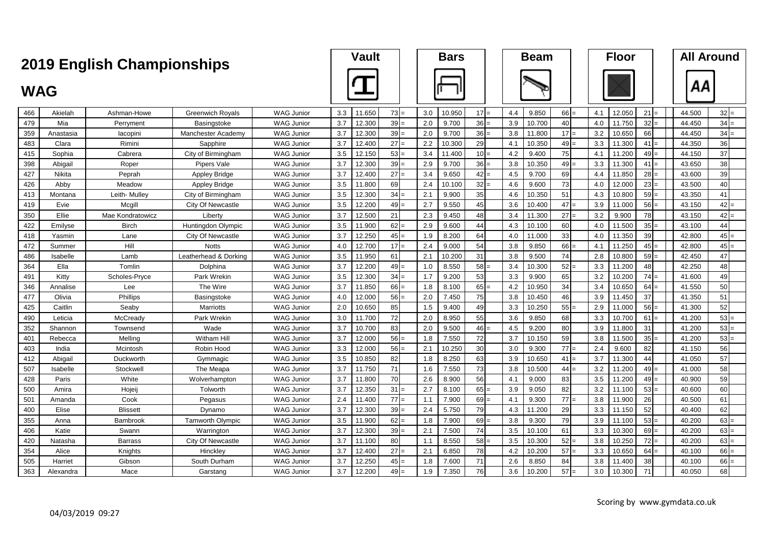|            | <b>2019 English Championships</b> |                  |                          |                   |     |        | <b>Vault</b> |     | <b>Bars</b> |        |     | <b>Beam</b> |        |     | <b>Floor</b> |        | <b>All Around</b> |        |
|------------|-----------------------------------|------------------|--------------------------|-------------------|-----|--------|--------------|-----|-------------|--------|-----|-------------|--------|-----|--------------|--------|-------------------|--------|
| <b>WAG</b> |                                   |                  |                          |                   |     |        |              |     |             |        |     |             |        |     |              |        | АΑ                |        |
| 466        | Akielah                           | Ashman-Howe      | <b>Greenwich Royals</b>  | <b>WAG Junior</b> | 3.3 | 11.650 | 73           | 3.0 | 10.950      | 17     | 4.4 | 9.850       | 66     | 4.1 | 12.050       | 21     | 44.500            | $32 =$ |
| 479        | Mia                               | Perryment        | Basingstoke              | WAG Junior        | 3.7 | 12.300 | 39           | 2.0 | 9.700       | $36 =$ | 3.9 | 10.700      | 40     | 4.0 | 11.750       | 32     | 44.450            | $34 =$ |
| 359        | Anastasia                         | lacopini         | Manchester Academy       | <b>WAG Junior</b> | 3.7 | 12.300 | 39           | 2.0 | 9.700       | $36 =$ | 3.8 | 11.800      | 17     | 3.2 | 10.650       | 66     | 44.450            | $34 =$ |
| 483        | Clara                             | Rimini           | Sapphire                 | <b>WAG Junior</b> | 3.7 | 12.400 | 27           | 2.2 | 10.300      | 29     | 4.1 | 10.350      | 49     | 3.3 | 11.300       | 41     | 44.350            | 36     |
| 415        | Sophia                            | Cabrera          | City of Birmingham       | <b>WAG Junior</b> | 3.5 | 12.150 | 53           | 3.4 | 11.400      | $10 =$ | 4.2 | 9.400       | 75     | 4.1 | 11.200       | 49     | 44.150            | 37     |
| 398        | Abigail                           | Roper            | Pipers Vale              | <b>WAG Junior</b> | 3.7 | 12.300 | 39           | 2.9 | 9.700       | $36 =$ | 3.8 | 10.350      | 49     | 3.3 | 11.300       | 41     | 43.650            | 38     |
| 427        | <b>Nikita</b>                     | Peprah           | <b>Appley Bridge</b>     | <b>WAG Junior</b> | 3.7 | 12.400 | 27           | 3.4 | 9.650       | $42 =$ | 4.5 | 9.700       | 69     | 4.4 | 11.850       | $28 =$ | 43.600            | 39     |
| 426        | Abby                              | Meadow           | <b>Appley Bridge</b>     | <b>WAG Junior</b> | 3.5 | 11.800 | 69           | 2.4 | 10.100      | 32     | 4.6 | 9.600       | 73     | 4.0 | 12.000       | 23     | 43.500            | 40     |
| 413        | Montana                           | Leith- Mulley    | City of Birmingham       | <b>WAG Junior</b> | 3.5 | 12.300 | 34           | 2.1 | 9.900       | 35     | 4.6 | 10.350      | 51     | 4.3 | 10.800       | $59 =$ | 43.350            | 41     |
| 419        | Evie                              | Mcgill           | City Of Newcastle        | <b>WAG Junior</b> | 3.5 | 12.200 | 49           | 2.7 | 9.550       | 45     | 3.6 | 10.400      | 47     | 3.9 | 11.000       | 56     | 43.150            | $42 =$ |
| 350        | Ellie                             | Mae Kondratowicz | Liberty                  | <b>WAG Junior</b> | 3.7 | 12.500 | 21           | 2.3 | 9.450       | 48     | 3.4 | 11.300      | $27 =$ | 3.2 | 9.900        | 78     | 43.150            | $42 =$ |
| 422        | Emilyse                           | <b>Birch</b>     | Huntingdon Olympic       | <b>WAG Junior</b> | 3.5 | 11.900 | 62           | 2.9 | 9.600       | 44     | 4.3 | 10.100      | 60     | 4.0 | 11.500       | 35     | 43.100            | 44     |
| 418        | Yasmin                            | Lane             | <b>City Of Newcastle</b> | <b>WAG Junior</b> | 3.7 | 12.250 | 45           | 1.9 | 8.200       | 64     | 4.0 | 11.000      | 33     | 4.0 | 11.350       | 39     | 42.800            | $45 =$ |
| 472        | Summer                            | Hill             | <b>Notts</b>             | <b>WAG Junior</b> | 4.0 | 12.700 | 17           | 2.4 | 9.000       | 54     | 3.8 | 9.850       | 66     | 4.1 | 11.250       | 45     | 42.800            | $45 =$ |
| 486        | Isabelle                          | Lamb             | Leatherhead & Dorking    | <b>WAG Junior</b> | 3.5 | 11.950 | 61           | 2.1 | 10.200      | 31     | 3.8 | 9.500       | 74     | 2.8 | 10.800       | 59     | 42.450            | 47     |
| 364        | Ella                              | Tomlin           | Dolphina                 | <b>WAG Junior</b> | 3.7 | 12.200 | 49           | 1.0 | 8.550       | $58 =$ | 3.4 | 10.300      | 52     | 3.3 | 11.200       | 48     | 42.250            | 48     |
| 491        | Kitty                             | Scholes-Pryce    | Park Wrekin              | <b>WAG Junior</b> | 3.5 | 12.300 | 34           | 1.7 | 9.200       | 53     | 3.3 | 9.900       | 65     | 3.2 | 10.200       | 74     | 41.600            | 49     |
| 346        | Annalise                          | Lee              | The Wire                 | <b>WAG Junior</b> | 3.7 | 11.850 | 66           | 1.8 | 8.100       | 65     | 4.2 | 10.950      | 34     | 3.4 | 10.650       | 64     | 41.550            | 50     |
| 477        | Olivia                            | Phillips         | Basingstoke              | <b>WAG Junior</b> | 4.0 | 12.000 | 56           | 2.0 | 7.450       | 75     | 3.8 | 10.450      | 46     | 3.9 | 11.450       | 37     | 41.350            | 51     |
| 425        | Caitlin                           | Seaby            | <b>Marriotts</b>         | <b>WAG Junior</b> | 2.0 | 10.650 | 85           | 1.5 | 9.400       | 49     | 3.3 | 10.250      | 55     | 2.9 | 11.000       | 56     | 41.300            | 52     |
| 490        | Leticia                           | McCready         | Park Wrekin              | <b>WAG Junior</b> | 3.0 | 11.700 | 72           | 2.0 | 8.950       | 55     | 3.6 | 9.850       | 68     | 3.3 | 10.700       | 61     | 41.200            | $53$ = |
| 352        | Shannon                           | Townsenc         | Wade                     | <b>WAG Junior</b> | 3.7 | 10.700 | 83           | 2.0 | 9.500       | 46     | 4.5 | 9.200       | 80     | 3.9 | 11.800       | 31     | 41.200            | $53 =$ |
| 401        | Rebecca                           | Melling          | Witham Hill              | <b>WAG Junior</b> | 3.7 | 12.000 | 56           | 1.8 | 7.550       | 72     | 3.7 | 10.150      | 59     | 3.8 | 11.500       | 35     | 41.200            | $53 =$ |
| 403        | India                             | Mcintosh         | Robin Hood               | <b>WAG Junior</b> | 3.3 | 12.000 | 56           | 2.1 | 10.250      | 30     | 3.0 | 9.300       | 77     | 2.4 | 9.600        | 82     | 41.150            | 56     |
| 412        | Abigail                           | Duckworth        | Gymmagic                 | <b>WAG Junior</b> | 3.5 | 10.850 | 82           | 1.8 | 8.250       | 63     | 3.9 | 10.650      | 41     | 3.7 | 11.300       | 44     | 41.050            | 57     |
| 507        | Isabelle                          | Stockwell        | The Meapa                | <b>WAG Junior</b> | 3.7 | 11.750 | 71           | 1.6 | 7.550       | 73     | 3.8 | 10.500      | $44 =$ | 3.2 | 11.200       | 49     | 41.000            | 58     |
| 428        | Paris                             | White            | Wolverhampton            | <b>WAG Junior</b> | 3.7 | 11.800 | 70           | 2.6 | 8.900       | 56     | 4.1 | 9.000       | 83     | 3.5 | 11.200       | 49     | 40.900            | 59     |
| 500        | Amira                             | Hojeij           | Tolworth                 | <b>WAG Junior</b> | 3.7 | 12.350 | 31           | 2.7 | 8.100       | $65 =$ | 3.9 | 9.050       | 82     | 3.2 | 11.100       | 53     | 40.600            | 60     |
| 501        | Amanda                            | Cook             | Pegasus                  | <b>WAG Junior</b> | 2.4 | 11.400 | 77           | 1.1 | 7.900       | 69     | 4.1 | 9.300       | 77     | 3.8 | 11.900       | 26     | 40.500            | 61     |
| 400        | Elise                             | <b>Blissett</b>  | Dynamo                   | <b>WAG Junior</b> | 3.7 | 12.300 | 39           | 2.4 | 5.750       | 79     | 4.3 | 11.200      | 29     | 3.3 | 11.150       | 52     | 40.400            | 62     |
| 355        | Anna                              | Bambrook         | Tamworth Olympic         | <b>WAG Junior</b> | 3.5 | 11.900 | 62           | 1.8 | 7.900       | 69     | 3.8 | 9.300       | 79     | 3.9 | 11.100       | 53     | 40.200            | $63 =$ |
| 406        | Katie                             | Swann            | Warrington               | <b>WAG Junior</b> | 3.7 | 12.300 | 39           | 2.1 | 7.500       | 74     | 3.5 | 10.100      | 61     | 3.3 | 10.300       | $69 =$ | 40.200            | $63 =$ |
| 420        | Natasha                           | <b>Barrass</b>   | City Of Newcastle        | <b>WAG Junior</b> | 3.7 | 11.100 | 80           | 1.1 | 8.550       | $58 =$ | 3.5 | 10.300      | 52     | 3.8 | 10.250       | 72     | 40.200            | $63 =$ |
| 354        | Alice                             | Knights          | Hinckley                 | <b>WAG Junior</b> | 3.7 | 12.400 | 27           | 2.1 | 6.850       | 78     | 4.2 | 10.200      | 57     | 3.3 | 10.650       | 64     | 40.100            | $66 =$ |
| 505        | Harriet                           | Gibson           | South Durham             | <b>WAG Junior</b> | 3.7 | 12.250 | 45           | 1.8 | 7.600       | 71     | 2.6 | 8.850       | 84     | 3.8 | 11.400       | 38     | 40.100            | $66 =$ |
| 363        | Alexandra                         | Mace             | Garstang                 | <b>WAG Junior</b> | 3.7 | 12.200 | 49           | 1.9 | 7.350       | 76     | 3.6 | 10.200      | 57     | 3.0 | 10.300       | 71     | 40.050            | 68     |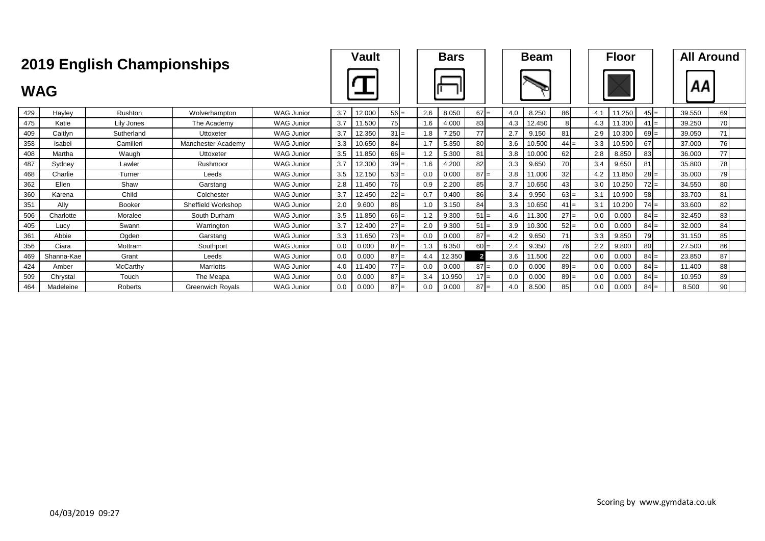|            |            | <b>2019 English Championships</b> |                         |                   |     | <b>Vault</b> |        |     | <b>Bars</b> |              |     | <b>Beam</b> |        |     | <b>Floor</b> |        |        | <b>All Around</b> |
|------------|------------|-----------------------------------|-------------------------|-------------------|-----|--------------|--------|-----|-------------|--------------|-----|-------------|--------|-----|--------------|--------|--------|-------------------|
| <b>WAG</b> |            |                                   |                         |                   |     |              |        |     |             |              |     |             |        |     |              |        | ΑА     |                   |
| 429        | Hayley     | Rushton                           | Wolverhampton           | <b>WAG Junior</b> | 3.7 | 12.000       | $56 =$ | 2.6 | 8.050       | $67 =$       | 4.0 | 8.250       | 86     | 4.1 | .250         | $45 =$ | 39.550 | 69                |
| 475        | Katie      | Lily Jones                        | The Academy             | <b>WAG Junior</b> | 3.7 | 11.500       | 75     | 1.6 | 4.000       | 83           | 4.3 | 12.450      | 8      | 4.3 | 11.300       | $41 =$ | 39.250 | 70                |
| 409        | Caitlyn    | Sutherland                        | Uttoxeter               | <b>WAG Junior</b> | 3.7 | 12.350       | $31 =$ | l.8 | 7.250       | 77           | 2.7 | 9.150       | 81     | 2.9 | 10.300       | $69 =$ | 39.050 | 71                |
| 358        | Isabel     | Camilleri                         | Manchester Academy      | <b>WAG Junior</b> | 3.3 | 10.650       | 84     | 1.7 | 5.350       | 80           | 3.6 | 10.500      | $44 =$ | 3.3 | 10.500       | 67     | 37.000 | 76                |
| 408        | Martha     | Waugh                             | Uttoxeter               | <b>WAG Junior</b> | 3.5 | 11.850       | $66 =$ | 1.2 | 5.300       | 81           | 3.8 | 10.000      | 62     | 2.8 | 8.850        | 83     | 36,000 | 77                |
| 487        | Sydney     | Lawler                            | Rushmoor                | <b>WAG Junior</b> | 3.7 | 12.300       | $39 =$ | 1.6 | 4.200       | 82           | 3.3 | 9.650       | 70     | 3.4 | 9.650        | 81     | 35.800 | 78                |
| 468        | Charlie    | Turner                            | Leeds                   | <b>WAG Junior</b> | 3.5 | 12.150       | $53 =$ | 0.0 | 0.000       | $87 =$       | 3.8 | 11.000      | 32     | 4.2 | 11.850       | $28 =$ | 35.000 | 79                |
| 362        | Ellen      | Shaw                              | Garstang                | <b>WAG Junior</b> | 2.8 | 11.450       | 76     | 0.9 | 2.200       | 85           | 3.7 | 10.650      | 43     | 3.0 | 10.250       | $72 =$ | 34.550 | 80                |
| 360        | Karena     | Child                             | Colchester              | <b>WAG Junior</b> | 3.7 | 12.450       | $22 =$ | 0.7 | 0.400       | 86           | 3.4 | 9.950       | $63 =$ | 3.1 | 10.900       | 58     | 33.700 | 81                |
| 351        | Ally       | <b>Booker</b>                     | Sheffield Workshop      | <b>WAG Junior</b> | 2.0 | 9.600        | 86     | 1.0 | 3.150       | 84           | 3.3 | 10.650      | $41 =$ | 3.1 | 10.200       | $74 =$ | 33.600 | 82                |
| 506        | Charlotte  | Moralee                           | South Durham            | <b>WAG Junior</b> | 3.5 | 11.850       | $66 =$ | 1.2 | 9.300       | $51 =$       | 4.6 | 11.300      | $27 =$ | 0.0 | 0.000        | $84 =$ | 32.450 | 83                |
| 405        | Lucy       | Swann                             | Warrington              | <b>WAG Junior</b> | 3.7 | 12.400       | $27 =$ | 2.0 | 9.300       | $51 =$       | 3.9 | 10.300      | $52 =$ | 0.0 | 0.000        | $84 =$ | 32.000 | 84                |
| 361        | Abbie      | Ogden                             | Garstang                | <b>WAG Junior</b> | 3.3 | 11.650       | $73 =$ | 0.0 | 0.000       | $87 =$       | 4.2 | 9.650       | 71     | 3.3 | 9.850        | 79     | 31.150 | 85                |
| 356        | Ciara      | Mottram                           | Southport               | <b>WAG Junior</b> | 0.0 | 0.000        | $87 =$ | 1.3 | 8.350       | $60 =$       | 2.4 | 9.350       | 76     | 2.2 | 9.800        | 80     | 27.500 | 86                |
| 469        | Shanna-Kae | Grant                             | Leeds                   | <b>WAG Junior</b> | 0.0 | 0.000        | $87 =$ | 4.4 | 12.350      | $\mathbf{2}$ | 3.6 | 11.500      | 22     | 0.0 | 0.000        | $84 =$ | 23.850 | 87                |
| 424        | Amber      | McCarthy                          | <b>Marriotts</b>        | <b>WAG Junior</b> | 4.0 | 11.400       | $77 =$ | 0.0 | 0.000       | $87 =$       | 0.0 | 0.000       | $89 =$ | 0.0 | 0.000        | $84 =$ | 11.400 | 88                |
| 509        | Chrystal   | Touch                             | The Meapa               | <b>WAG Junior</b> | 0.0 | 0.000        | $87 =$ | 3.4 | 10.950      | $17 =$       | 0.0 | 0.000       | $89 =$ | 0.0 | 0.000        | $84 =$ | 10.950 | 89                |
| 464        | Madeleine  | Roberts                           | <b>Greenwich Royals</b> | <b>WAG Junior</b> | 0.0 | 0.000        | $87 =$ | 0.0 | 0.000       | $87 =$       | 4.0 | 8.500       | 85     | 0.0 | 0.000        | $84 =$ | 8.500  | 90                |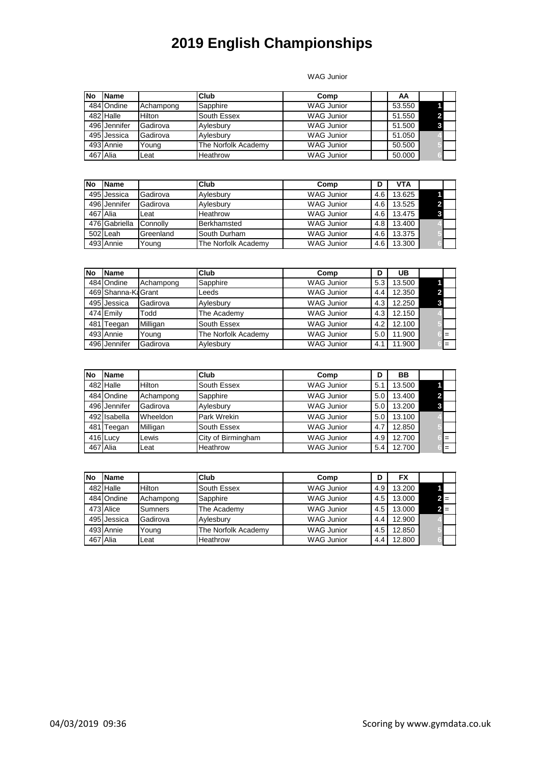WAG Junior

| No | <b>Name</b>  |           | Club                | Comp              | AA     |  |
|----|--------------|-----------|---------------------|-------------------|--------|--|
|    | 484 Ondine   | Achampong | Sapphire            | <b>WAG Junior</b> | 53.550 |  |
|    | 482 Halle    | Hilton    | South Essex         | <b>WAG Junior</b> | 51.550 |  |
|    | 496 Jennifer | Gadirova  | Avlesbury           | <b>WAG Junior</b> | 51.500 |  |
|    | 495 Jessica  | Gadirova  | Aylesbury           | <b>WAG Junior</b> | 51.050 |  |
|    | 493 Annie    | Young     | The Norfolk Academy | <b>WAG Junior</b> | 50.500 |  |
|    | 467 Alia     | Leat      | Heathrow            | <b>WAG Junior</b> | 50.000 |  |

| <b>INo</b> | <b>Name</b>   |           | Club                | Comp              |                  | <b>VTA</b> |  |
|------------|---------------|-----------|---------------------|-------------------|------------------|------------|--|
|            | 495 Jessica   | Gadirova  | Aylesbury           | <b>WAG Junior</b> | 4.6              | 13.625     |  |
|            | 496 Jennifer  | Gadirova  | Aylesbury           | <b>WAG Junior</b> | 4.6              | 13.525     |  |
|            | 467 Alia      | Leat      | Heathrow            | <b>WAG Junior</b> | $4.6 \,$         | 13.475     |  |
|            | 476 Gabriella | Connolly  | Berkhamsted         | <b>WAG Junior</b> | 4.8 <sub>1</sub> | 13.400     |  |
|            | 502 Leah      | Greenland | South Durham        | <b>WAG Junior</b> | 4.6              | 13.375     |  |
|            | 493 Annie     | Young     | The Norfolk Academy | <b>WAG Junior</b> | 4.6              | 13.300     |  |

| <b>INo</b> | <b>Name</b>         |           | Club                | Comp              | D   | UB     |     |
|------------|---------------------|-----------|---------------------|-------------------|-----|--------|-----|
|            | 484 Ondine          | Achampong | Sapphire            | <b>WAG Junior</b> | 5.3 | 13.500 |     |
|            | 469 Shanna-Ka Grant |           | Leeds               | <b>WAG Junior</b> | 4.4 | 12.350 |     |
|            | 495 Jessica         | Gadirova  | Aylesbury           | <b>WAG Junior</b> | 4.3 | 12.250 |     |
|            | 474 Emily           | Todd      | The Academy         | <b>WAG Junior</b> | 4.3 | 12.150 |     |
|            | 481 Teegan          | Milligan  | South Essex         | <b>WAG Junior</b> | 4.2 | 12.100 |     |
|            | 493 Annie           | Young     | The Norfolk Academy | <b>WAG Junior</b> | 5.0 | 11.900 | $=$ |
|            | 496 Jennifer        | Gadirova  | Aylesbury           | <b>WAG Junior</b> | 4.1 | 11.900 | $=$ |

| No | <b>Name</b>  |           | Club               | Comp              | D               | BB     |     |
|----|--------------|-----------|--------------------|-------------------|-----------------|--------|-----|
|    | 482 Halle    | Hilton    | South Essex        | <b>WAG Junior</b> | 5.              | 13.500 |     |
|    | 484 Ondine   | Achampong | Sapphire           | <b>WAG Junior</b> | 5.0             | 13.400 |     |
|    | 496 Jennifer | Gadirova  | Aylesbury          | <b>WAG Junior</b> | 5. <sub>C</sub> | 13.200 |     |
|    | 492 Isabella | Wheeldon  | Park Wrekin        | <b>WAG Junior</b> | 5. <sub>C</sub> | 13.100 |     |
|    | 481 Teegan   | Milligan  | South Essex        | <b>WAG Junior</b> | 4.1             | 12.850 |     |
|    | 416 Lucy     | Lewis     | City of Birmingham | <b>WAG Junior</b> | 4.9             | 12.700 | $=$ |
|    | 467 Alia     | Leat      | Heathrow           | <b>WAG Junior</b> | 5.4             | 12.700 | $=$ |

| lNo | <b>IName</b> |           | Club                | Comp              |                  | FX     |     |  |
|-----|--------------|-----------|---------------------|-------------------|------------------|--------|-----|--|
|     | 482 Halle    | Hilton    | South Essex         | <b>WAG Junior</b> | 4.9              | 13.200 |     |  |
|     | 484 Ondine   | Achampong | Sapphire            | <b>WAG Junior</b> | 4.5 <sub>1</sub> | 13.000 | 2 ≡ |  |
|     | 473 Alice    | Sumners   | The Academy         | <b>WAG Junior</b> | 4.5              | 13.000 | 2⊫  |  |
|     | 495 Jessica  | Gadirova  | Aylesbury           | <b>WAG Junior</b> | 4.4              | 12.900 |     |  |
|     | 493 Annie    | Young     | The Norfolk Academy | <b>WAG Junior</b> | 4.5              | 12.850 |     |  |
|     | 467 Alia     | Leat      | Heathrow            | <b>WAG Junior</b> | 4.4              | 12.800 |     |  |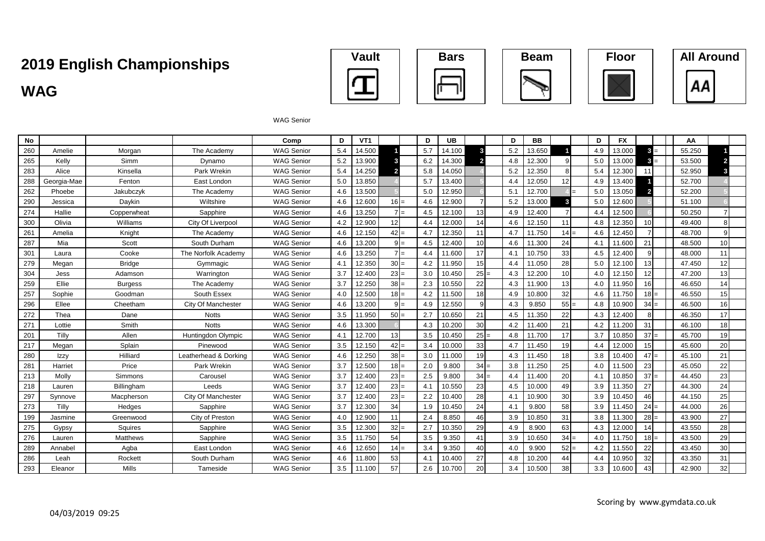# **WAG All Around Championships Vault Bars Beam Floor All Around**











#### WAG Senior

| <b>No</b> |             |                |                       | Comp              | D   | VT <sub>1</sub> |        |                          | D   | UB     |        | D   | <b>BB</b> |        | D   | <b>FX</b> |                | AA     |    |
|-----------|-------------|----------------|-----------------------|-------------------|-----|-----------------|--------|--------------------------|-----|--------|--------|-----|-----------|--------|-----|-----------|----------------|--------|----|
| 260       | Amelie      | Morgan         | The Academy           | <b>WAG Senior</b> | 5.4 | 14.500          |        |                          | 5.7 | 14.100 | 3      | 5.2 | 13.650    |        | 4.9 | 13.000    | $3 =$          | 55.250 |    |
| 265       | Kelly       | Simm           | Dynamo                | <b>WAG Senior</b> | 5.2 | 13.900          |        |                          | 6.2 | 14.300 |        | 4.8 | 12.300    |        | 5.0 | 13.000    | з.<br>$=$      | 53.500 |    |
| 283       | Alice       | Kinsella       | Park Wrekin           | <b>WAG Senior</b> | 5.4 | 14.250          |        |                          | 5.8 | 14.050 |        | 5.2 | 12.350    | 8      | 5.4 | 12.300    | 11             | 52.950 |    |
| 288       | Georgia-Mae | Fenton         | East London           | <b>WAG Senior</b> | 5.0 | 13.850          |        |                          | 5.7 | 13.400 |        | 4.4 | 12.050    | 12     | 4.9 | 13.400    |                | 52.700 |    |
| 262       | Phoebe      | Jakubczyk      | The Academy           | <b>WAG Senior</b> | 4.6 | 13.500          |        |                          | 5.0 | 12.950 |        | 5.1 | 12.700    |        | 5.0 | 13.050    | $\overline{2}$ | 52.200 |    |
| 290       | Jessica     | Daykin         | Wiltshire             | <b>WAG Senior</b> | 4.6 | 12.600          | $16 =$ |                          | 4.6 | 12.900 |        | 5.2 | 13.000    | 3      | 5.0 | 12.600    |                | 51.100 |    |
| 274       | Hallie      | Copperwheat    | Sapphire              | <b>WAG Senior</b> | 4.6 | 13.250          |        | $\overline{\phantom{0}}$ | 4.5 | 12.100 | 13     | 4.9 | 12.400    |        | 44  | 12.500    |                | 50.250 |    |
| 300       | Olivia      | Williams       | City Of Liverpool     | <b>WAG Senior</b> | 4.2 | 12.900          | 12     |                          | 4.4 | 12.000 | 14     | 4.6 | 12.150    | 11     | 4.8 | 12.350    | 10             | 49.400 |    |
| 261       | Amelia      | Knight         | The Academy           | <b>WAG Senior</b> | 4.6 | 12.150          | 42     | $=$                      | 4.7 | 12.350 | 11     | 4.7 | 11.750    | $14 =$ | 4.6 | 12.450    |                | 48.700 |    |
| 287       | Mia         | Scott          | South Durham          | <b>WAG Senior</b> | 4.6 | 13.200          |        |                          | 4.5 | 12.400 | 10     | 4.6 | 11.300    | 24     | 4.1 | 11.600    | 21             | 48.500 | 10 |
| 301       | Laura       | Cooke          | The Norfolk Academy   | <b>WAG Senior</b> | 4.6 | 13.250          |        | $=$                      | 4.4 | 11.600 | 17     | 4.1 | 10.750    | 33     | 4.5 | 12.400    | q              | 48.000 | 11 |
| 279       | Megan       | <b>Bridge</b>  | Gymmagic              | <b>WAG Senior</b> | 4.1 | 12.350          | $30 =$ |                          | 4.2 | 11.950 | 15     | 4.4 | 11.050    | 28     | 5.0 | 12.100    | 13             | 47.450 | 12 |
| 304       | Jess        | Adamson        | Warrington            | <b>WAG Senior</b> | 3.7 | 12.400          | $23 =$ |                          | 3.0 | 10.450 | $25 =$ | 4.3 | 12.200    | 10     | 4.0 | 12.150    | 12             | 47.200 | 13 |
| 259       | Ellie       | <b>Burgess</b> | The Academy           | <b>WAG Senior</b> | 3.7 | 12.250          | $38 =$ |                          | 2.3 | 10.550 | 22     | 4.3 | 11.900    | 13     | 4.0 | 11.950    | 16             | 46.650 | 14 |
| 257       | Sophie      | Goodman        | South Essex           | <b>WAG Senior</b> | 4.0 | 12.500          | $18 =$ |                          | 4.2 | 11.500 | 18     | 4.9 | 10.800    | 32     | 4.6 | 11.750    | $18 =$         | 46.550 | 15 |
| 296       | Ellee       | Cheetham       | City Of Manchester    | <b>WAG Senior</b> | 4.6 | 13.200          |        |                          | 4.9 | 12.550 | 9      | 4.3 | 9.850     | $55 =$ | 4.8 | 10.900    | $34 =$         | 46.500 | 16 |
| 272       | Thea        | Dane           | <b>Notts</b>          | <b>WAG Senior</b> | 3.5 | 11.950          | $50 =$ |                          | 2.7 | 10.650 | 21     | 4.5 | 11.350    | 22     | 4.3 | 12.400    | 8              | 46.350 | 17 |
| 271       | Lottie      | Smith          | <b>Notts</b>          | <b>WAG Senior</b> | 4.6 | 13.300          |        |                          | 4.3 | 10.200 | 30     | 4.2 | 11.400    | 21     | 4.2 | 11.200    | 31             | 46.100 | 18 |
| 201       | Tilly       | Allen          | Huntingdon Olympic    | <b>WAG Senior</b> | 4.1 | 12.700          | 13     |                          | 3.5 | 10.450 | $25 =$ | 4.8 | 11.700    | 17     | 3.7 | 10.850    | $37 =$         | 45.700 | 19 |
| 217       | Megan       | Splain         | Pinewood              | <b>WAG Senior</b> | 3.5 | 12.150          | 42     |                          | 3.4 | 10.000 | 33     | 4.7 | 11.450    | 19     | 4.4 | 12.000    | 15             | 45.600 | 20 |
| 280       | Izzy        | Hilliard       | Leatherhead & Dorking | <b>WAG Senior</b> | 4.6 | 12.250          | $38 =$ |                          | 3.0 | 11.000 | 19     | 4.3 | 11.450    | 18     | 3.8 | 10.400    | $47 =$         | 45.100 | 21 |
| 281       | Harriet     | Price          | Park Wrekin           | <b>WAG Senior</b> | 3.7 | 12.500          | $18 =$ |                          | 2.0 | 9.800  | 34     | 3.8 | 11.250    | 25     | 4.0 | 11.500    | 23             | 45.050 | 22 |
| 213       | Molly       | Simmons        | Carousel              | <b>WAG Senior</b> | 3.7 | 12.400          | $23 =$ |                          | 2.5 | 9.800  | $34 =$ | 4.4 | 11.400    | 20     | 4.1 | 10.850    | $37 =$         | 44.450 | 23 |
| 218       | Lauren      | Billingham     | Leeds                 | <b>WAG Senior</b> | 3.7 | 12.400          | $23 =$ |                          | 4.1 | 10.550 | 23     | 4.5 | 10.000    | 49     | 3.9 | 11.350    | 27             | 44.300 | 24 |
| 297       | Synnove     | Macpherson     | City Of Manchester    | <b>WAG Senior</b> | 3.7 | 12.400          | 23     | l=                       | 2.2 | 10.400 | 28     | 4.1 | 10.900    | 30     | 3.9 | 10.450    | 46             | 44.150 | 25 |
| 273       | Tilly       | Hedges         | Sapphire              | <b>WAG Senior</b> | 3.7 | 12.300          | 34     |                          | 1.9 | 10.450 | 24     | 4.1 | 9.800     | 58     | 3.9 | 11.450    | $24 =$         | 44.000 | 26 |
| 199       | Jasmine     | Greenwood      | City of Preston       | <b>WAG Senior</b> | 4.0 | 12.900          | 11     |                          | 2.4 | 8.850  | 46     | 3.9 | 10.850    | 31     | 3.8 | 11.300    | $28 =$         | 43.900 | 27 |
| 275       | Gypsy       | Squires        | Sapphire              | <b>WAG Senior</b> | 3.5 | 12.300          | $32 =$ |                          | 2.7 | 10.350 | 29     | 4.9 | 8.900     | 63     | 4.3 | 12.000    | 14             | 43.550 | 28 |
| 276       | Lauren      | Matthews       | Sapphire              | <b>WAG Senior</b> | 3.5 | 11.750          | 54     |                          | 3.5 | 9.350  | 41     | 3.9 | 10.650    | $34 =$ | 4.0 | 11.750    | $18 =$         | 43.500 | 29 |
| 289       | Annabel     | Agba           | East London           | <b>WAG Senior</b> | 4.6 | 12.650          | 14     |                          | 3.4 | 9.350  | 40     | 4.0 | 9.900     | $52 =$ | 4.2 | 11.550    | 22             | 43.450 | 30 |
| 286       | Leah        | Rockett        | South Durham          | <b>WAG Senior</b> | 4.6 | 11.800          | 53     |                          | 4.1 | 10.400 | 27     | 4.8 | 10.200    | 44     | 4.4 | 10.950    | 32             | 43.350 | 31 |
| 293       | Eleanor     | Mills          | Tameside              | <b>WAG Senior</b> | 3.5 | 11.100          | 57     |                          | 2.6 | 10.700 | 20     | 3.4 | 10.500    | 38     | 3.3 | 10.600    | 43             | 42.900 | 32 |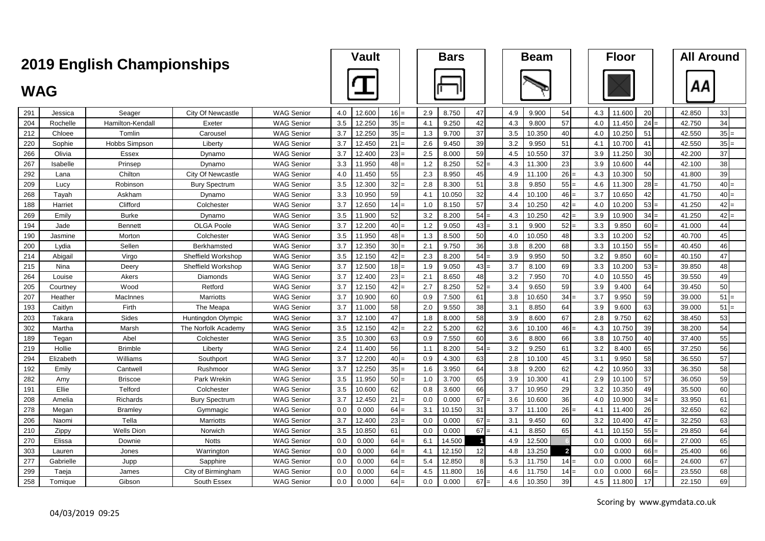|            | <b>2019 English Championships</b> |                      |                           |                   | <b>Vault</b> |        |                 | <b>Bars</b> |        |        | <b>Beam</b> |        |                | <b>Floor</b> | <b>All Around</b> |        |        |
|------------|-----------------------------------|----------------------|---------------------------|-------------------|--------------|--------|-----------------|-------------|--------|--------|-------------|--------|----------------|--------------|-------------------|--------|--------|
|            |                                   |                      |                           |                   |              |        |                 |             |        |        |             |        |                |              |                   |        |        |
| <b>WAG</b> |                                   |                      |                           |                   |              |        |                 |             |        |        |             |        |                |              |                   | АΑ     |        |
| 291        | Jessica                           | Seager               | <b>City Of Newcastle</b>  | <b>WAG Senior</b> | 4.0          | 12.600 | $16 =$          | 2.9         | 8.750  | 47     | 4.9         | 9.900  | 54             | 4.3          | 20<br>11.600      | 42.850 | 33     |
| 204        | Rochelle                          | Hamilton-Kendall     | Exeter                    | <b>WAG Senior</b> | 3.5          | 12.250 | 35              | 4.1         | 9.250  | 42     | 4.3         | 9.800  | 57             | 4.0          | 24<br>11.450      | 42.750 | 34     |
| 212        | Chloee                            | Tomlin               | Carousel                  | <b>WAG Senior</b> | 3.7          | 12.250 | 35              | 1.3         | 9.700  | 37     | 3.5         | 10.350 | 40             | 4.0          | 10.250<br>51      | 42.550 | $35 =$ |
| 220        | Sophie                            | <b>Hobbs Simpson</b> | Liberty                   | <b>WAG Senior</b> | 3.7          | 12.450 | 21              | 2.6         | 9.450  | 39     | 3.2         | 9.950  | 51             | 4.1          | 10.700<br>41      | 42.550 | 35     |
| 266        | Olivia                            | Essex                | Dynamo                    | <b>WAG Senior</b> | 3.7          | 12.400 | 23              | 2.5         | 8.000  | 59     | 4.5         | 10.550 | 37             | 3.9          | 11.250<br>30      | 42.200 | 37     |
| 267        | Isabelle                          | Prinsep              | Dynamo                    | <b>WAG Senior</b> | 3.3          | 11.950 | 48              | 1.2         | 8.250  | $52 =$ | 4.3         | 11.300 | 23             | 3.9          | 10.600<br>44      | 42.100 | 38     |
| 292        | Lana                              | Chilton              | <b>City Of Newcastle</b>  | <b>WAG Senior</b> | 4.0          | 11.450 | 55              | 2.3         | 8.950  | 45     | 4.9         | 11.100 | 26             | 4.3          | 50<br>10.300      | 41.800 | 39     |
| 209        | Lucy                              | Robinson             | <b>Bury Spectrum</b>      | <b>WAG Senior</b> | 3.5          | 12.300 | 32              | 2.8         | 8.300  | 51     | 3.8         | 9.850  | $55 =$         | 4.6          | 11.300<br>28      | 41.750 | $40 =$ |
| 268        | Tayah                             | Askham               | Dynamo                    | <b>WAG Senior</b> | 3.3          | 10.950 | 59              | 4.1         | 10.050 | 32     | 4.4         | 10.100 | 46             | 3.7          | 42<br>10.650      | 41.750 | $40 =$ |
| 188        | Harriet                           | Clifford             | Colchester                | <b>WAG Senior</b> | 3.7          | 12.650 | 14              | 1.0         | 8.150  | 57     | 3.4         | 10.250 | 42             | 4.0          | 53<br>10.200      | 41.250 | 42     |
| 269        | Emily                             | <b>Burke</b>         | Dynamo                    | <b>WAG Senior</b> | 3.5          | 11.900 | 52              | 3.2         | 8.200  | $54 =$ | 4.3         | 10.250 | $42 =$         | 3.9          | 34<br>10.900      | 41.250 | 42     |
| 194        | Jade                              | <b>Bennett</b>       | <b>OLGA Poole</b>         | <b>WAG Senior</b> | 3.7          | 12.200 | 40              | 1.2         | 9.050  | $43 =$ | 3.1         | 9.900  | $52 =$         | 3.3          | 9.850<br>60       | 41.000 | 44     |
| 190        | Jasmine                           | Morton               | Colchester                | <b>WAG Senior</b> | 3.5          | 11.950 | 48              | 1.3         | 8.500  | 50     | 4.0         | 10.050 | 48             | 3.3          | 52<br>10.200      | 40.700 | 45     |
| 200        | Lydia                             | Sellen               | Berkhamsted               | <b>WAG Senior</b> | 3.7          | 12.350 | 30 <sup>1</sup> | 2.1         | 9.750  | 36     | 3.8         | 8.200  | 68             | 3.3          | 55<br>10.150      | 40.450 | 46     |
| 214        | Abigail                           | Virgo                | Sheffield Workshop        | <b>WAG Senior</b> | 3.5          | 12.150 | 42              | 2.3         | 8.200  | $54 =$ | 3.9         | 9.950  | 50             | 3.2          | 9.850<br>60       | 40.150 | 47     |
| 215        | Nina                              | Deery                | Sheffield Workshop        | <b>WAG Senior</b> | 3.7          | 12.500 | 18              | 1.9         | 9.050  | $43 =$ | 3.7         | 8.100  | 69             | 3.3          | 53<br>10.200      | 39.850 | 48     |
| 264        | Louise                            | Akers                | Diamonds                  | <b>WAG Senior</b> | 3.7          | 12.400 | 23              | 2.1         | 8.650  | 48     | 3.2         | 7.950  | 70             | 4.0          | 10.550<br>45      | 39.550 | 49     |
| 205        | Courtney                          | Wood                 | Retford                   | <b>WAG Senior</b> | 3.7          | 12.150 | 42              | 2.7         | 8.250  | $52 =$ | 3.4         | 9.650  | 59             | 3.9          | 9.400<br>64       | 39.450 | 50     |
| 207        | Heather                           | MacInnes             | <b>Marriotts</b>          | <b>WAG Senior</b> | 3.7          | 10.900 | 60              | 0.9         | 7.500  | 61     | 3.8         | 10.650 | 34             | 3.7          | 59<br>9.950       | 39.000 | 51     |
| 193        | Caitlyn                           | Firth                | The Meapa                 | <b>WAG Senior</b> | 3.7          | 11.000 | 58              | 2.0         | 9.550  | 38     | 3.1         | 8.850  | 64             | 3.9          | 9.600<br>63       | 39.000 | 51     |
| 203        | Takara                            | Sides                | <b>Huntingdon Olympic</b> | <b>WAG Senior</b> | 3.7          | 12.100 | 47              | 1.8         | 8.000  | 58     | 3.9         | 8.600  | 67             | 2.8          | 9.750<br>62       | 38.450 | 53     |
| 302        | Martha                            | Marsh                | The Norfolk Academy       | <b>WAG Senior</b> | 3.5          | 12.150 | 42              | 2.2         | 5.200  | 62     | 3.6         | 10.100 | 46             | 4.3          | 39<br>10.750      | 38.200 | 54     |
| 189        | Tegan                             | Abel                 | Colchester                | <b>WAG Senior</b> | 3.5          | 10.300 | 63              | 0.9         | 7.550  | 60     | 3.6         | 8.800  | 66             | 3.8          | 10.750<br>40      | 37.400 | 55     |
| 219        | Hollie                            | <b>Brimble</b>       | Liberty                   | <b>WAG Senior</b> | 2.4          | 11.400 | 56              | 1.1         | 8.200  | $54 =$ | 3.2         | 9.250  | 61             | 3.2          | 8.400<br>65       | 37.250 | 56     |
| 294        | Elizabeth                         | Williams             | Southport                 | <b>WAG Senior</b> | 3.7          | 12.200 | 40              | 0.9         | 4.300  | 63     | 2.8         | 10.100 | 45             | 3.1          | 58<br>9.950       | 36.550 | 57     |
| 192        | Emilv                             | Cantwel              | Rushmoor                  | <b>WAG Senior</b> | 3.7          | 12.250 | 35              | 1.6         | 3.950  | 64     | 3.8         | 9.200  | 62             | 4.2          | 10.950<br>33      | 36.350 | 58     |
| 282        | Amy                               | <b>Briscoe</b>       | Park Wrekin               | <b>WAG Senior</b> | 3.5          | 11.950 | 50              | 1.0         | 3.700  | 65     | 3.9         | 10.300 | 41             | 2.9          | 57<br>10.100      | 36.050 | 59     |
| 191        | Ellie                             | Telford              | Colchester                | <b>WAG Senior</b> | 3.5          | 10.600 | 62              | 0.8         | 3.600  | 66     | 3.7         | 10.950 | 29             | 3.2          | 49<br>10.350      | 35.500 | 60     |
| 208        | Amelia                            | Richards             | <b>Bury Spectrum</b>      | <b>WAG Senior</b> | 3.7          | 12.450 | 21              | 0.0         | 0.000  | 67     | 3.6         | 10.600 | 36             | 4.0          | 10.900<br>34      | 33.950 | 61     |
| 278        | Megan                             | <b>Bramley</b>       | Gymmagic                  | <b>WAG Senior</b> | 0.0          | 0.000  | 64              | 3.1         | 10.150 | 31     | 3.7         | 11.100 | 26             | 4.1          | 26<br>11.400      | 32.650 | 62     |
| 206        | Naomi                             | Tella                | Marriotts                 | <b>WAG Senior</b> | 3.7          | 12.400 | 23              | 0.0         | 0.000  | 67     | 3.1         | 9.450  | 60             | 3.2          | 10.400<br>47      | 32.250 | 63     |
| 210        | Zippy                             | <b>Wells Dion</b>    | Norwich                   | <b>WAG Senior</b> | 3.5          | 10.850 | 61              | 0.0         | 0.000  | $67 =$ | 4.1         | 8.850  | 65             | 4.1          | 10.150<br>$55 =$  | 29.850 | 64     |
| 270        | Elissa                            | Downie               | <b>Notts</b>              | <b>WAG Senior</b> | 0.0          | 0.000  | 64              | 6.1         | 14.500 |        | 4.9         | 12.500 |                | 0.0          | 0.000<br>66       | 27.000 | 65     |
| 303        | Lauren                            | Jones                | Warrington                | <b>WAG Senior</b> | 0.0          | 0.000  | 64              | 4.1         | 12.150 | 12     | 4.8         | 13.250 | $\overline{2}$ | 0.0          | 0.000<br>66       | 25.400 | 66     |
| 277        | Gabrielle                         | Jupp                 | Sapphire                  | <b>WAG Senior</b> | 0.0          | 0.000  | 64              | 5.4         | 12.850 | 8      | 5.3         | 11.750 | 14             | 0.0          | 0.000<br>66       | 24.600 | 67     |
| 299        | Taeja                             | James                | City of Birmingham        | <b>WAG Senior</b> | 0.0          | 0.000  | 64              | 4.5         | 11.800 | 16     | 4.6         | 11.750 | $14 =$         | 0.0          | 0.000<br>66       | 23.550 | 68     |
| 258        | Tomique                           | Gibson               | South Essex               | <b>WAG Senior</b> | 0.0          | 0.000  | 64              | 0.0         | 0.000  | $67 =$ | 4.6         | 10.350 | 39             | 4.5          | 17<br>11.800      | 22.150 | 69     |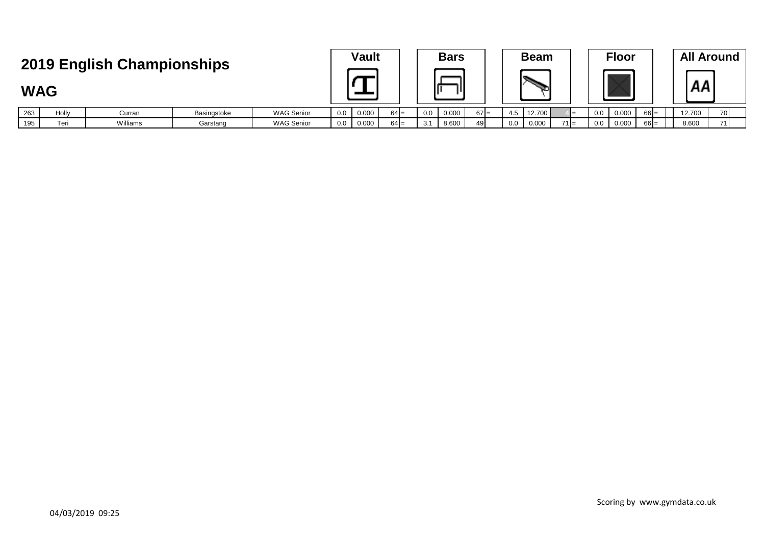|                                          |       |          |             |                   |     | <b>Vault</b> |        |     | <b>Bars</b> |        |     | <b>Beam</b> |        |     | <b>Floor</b> |        |        | <b>All Around</b> |
|------------------------------------------|-------|----------|-------------|-------------------|-----|--------------|--------|-----|-------------|--------|-----|-------------|--------|-----|--------------|--------|--------|-------------------|
| 2019 English Championships<br><b>WAG</b> |       |          |             |                   |     |              |        |     |             |        |     |             |        |     |              | AA     |        |                   |
| 263                                      | Holly | Curran   | Basingstoke | <b>WAG Senior</b> | 0.0 | 0.000        | $64 =$ | 0.0 | 0.000       | $67 =$ | 4.5 | 12.700      |        | 0.0 | 0.000        | $66 =$ | 12.700 | 70                |
| 195                                      | Teri  | Williams | Garstang    | <b>WAG Senior</b> | 0.0 | 0.000        | $64 =$ |     | 8.600       | 49     | 0.0 | 0.000       | $71 =$ | 0.0 | 0.000        | $66 =$ | 8.600  | 71                |